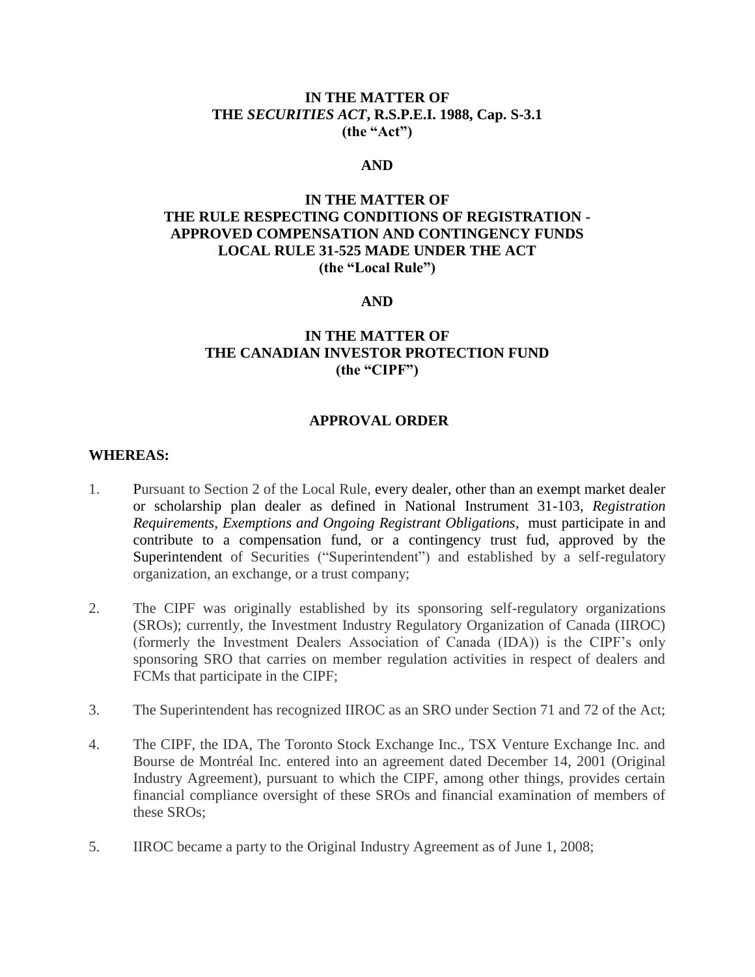### **IN THE MATTER OF THE** *SECURITIES ACT***, R.S.P.E.I. 1988, Cap. S-3.1 (the "Act")**

#### **AND**

## **IN THE MATTER OF THE RULE RESPECTING CONDITIONS OF REGISTRATION - APPROVED COMPENSATION AND CONTINGENCY FUNDS LOCAL RULE 31-525 MADE UNDER THE ACT (the "Local Rule")**

#### **AND**

## **IN THE MATTER OF THE CANADIAN INVESTOR PROTECTION FUND (the "CIPF")**

#### **APPROVAL ORDER**

#### **WHEREAS:**

- 1. Pursuant to Section 2 of the Local Rule, every dealer, other than an exempt market dealer or scholarship plan dealer as defined in National Instrument 31-103, *Registration Requirements, Exemptions and Ongoing Registrant Obligations*, must participate in and contribute to a compensation fund, or a contingency trust fud, approved by the Superintendent of Securities ("Superintendent") and established by a self-regulatory organization, an exchange, or a trust company;
- 2. The CIPF was originally established by its sponsoring self-regulatory organizations (SROs); currently, the Investment Industry Regulatory Organization of Canada (IIROC) (formerly the Investment Dealers Association of Canada (IDA)) is the CIPF's only sponsoring SRO that carries on member regulation activities in respect of dealers and FCMs that participate in the CIPF;
- 3. The Superintendent has recognized IIROC as an SRO under Section 71 and 72 of the Act;
- 4. The CIPF, the IDA, The Toronto Stock Exchange Inc., TSX Venture Exchange Inc. and Bourse de Montréal Inc. entered into an agreement dated December 14, 2001 (Original Industry Agreement), pursuant to which the CIPF, among other things, provides certain financial compliance oversight of these SROs and financial examination of members of these SROs;
- 5. IIROC became a party to the Original Industry Agreement as of June 1, 2008;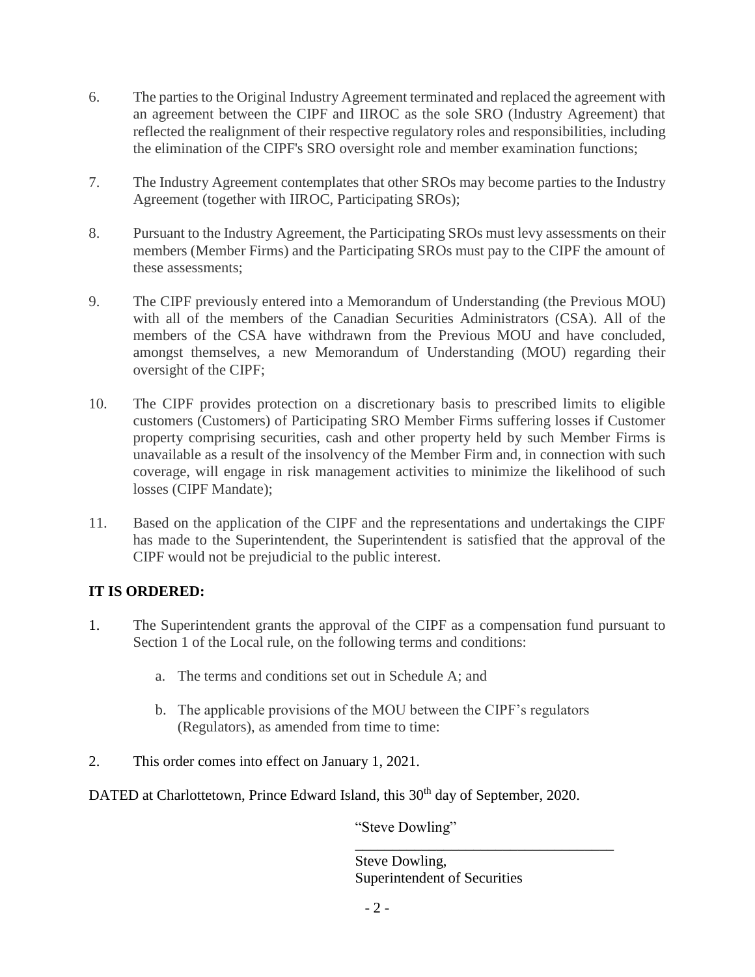- 6. The parties to the Original Industry Agreement terminated and replaced the agreement with an agreement between the CIPF and IIROC as the sole SRO (Industry Agreement) that reflected the realignment of their respective regulatory roles and responsibilities, including the elimination of the CIPF's SRO oversight role and member examination functions;
- 7. The Industry Agreement contemplates that other SROs may become parties to the Industry Agreement (together with IIROC, Participating SROs);
- 8. Pursuant to the Industry Agreement, the Participating SROs must levy assessments on their members (Member Firms) and the Participating SROs must pay to the CIPF the amount of these assessments;
- 9. The CIPF previously entered into a Memorandum of Understanding (the Previous MOU) with all of the members of the Canadian Securities Administrators (CSA). All of the members of the CSA have withdrawn from the Previous MOU and have concluded, amongst themselves, a new Memorandum of Understanding (MOU) regarding their oversight of the CIPF;
- 10. The CIPF provides protection on a discretionary basis to prescribed limits to eligible customers (Customers) of Participating SRO Member Firms suffering losses if Customer property comprising securities, cash and other property held by such Member Firms is unavailable as a result of the insolvency of the Member Firm and, in connection with such coverage, will engage in risk management activities to minimize the likelihood of such losses (CIPF Mandate);
- 11. Based on the application of the CIPF and the representations and undertakings the CIPF has made to the Superintendent, the Superintendent is satisfied that the approval of the CIPF would not be prejudicial to the public interest.

# **IT IS ORDERED:**

- 1. The Superintendent grants the approval of the CIPF as a compensation fund pursuant to Section 1 of the Local rule, on the following terms and conditions:
	- a. The terms and conditions set out in Schedule A; and
	- b. The applicable provisions of the MOU between the CIPF's regulators (Regulators), as amended from time to time:
- 2. This order comes into effect on January 1, 2021.

DATED at Charlottetown, Prince Edward Island, this 30<sup>th</sup> day of September, 2020.

"Steve Dowling"

Steve Dowling, Superintendent of Securities

\_\_\_\_\_\_\_\_\_\_\_\_\_\_\_\_\_\_\_\_\_\_\_\_\_\_\_\_\_\_\_\_\_\_\_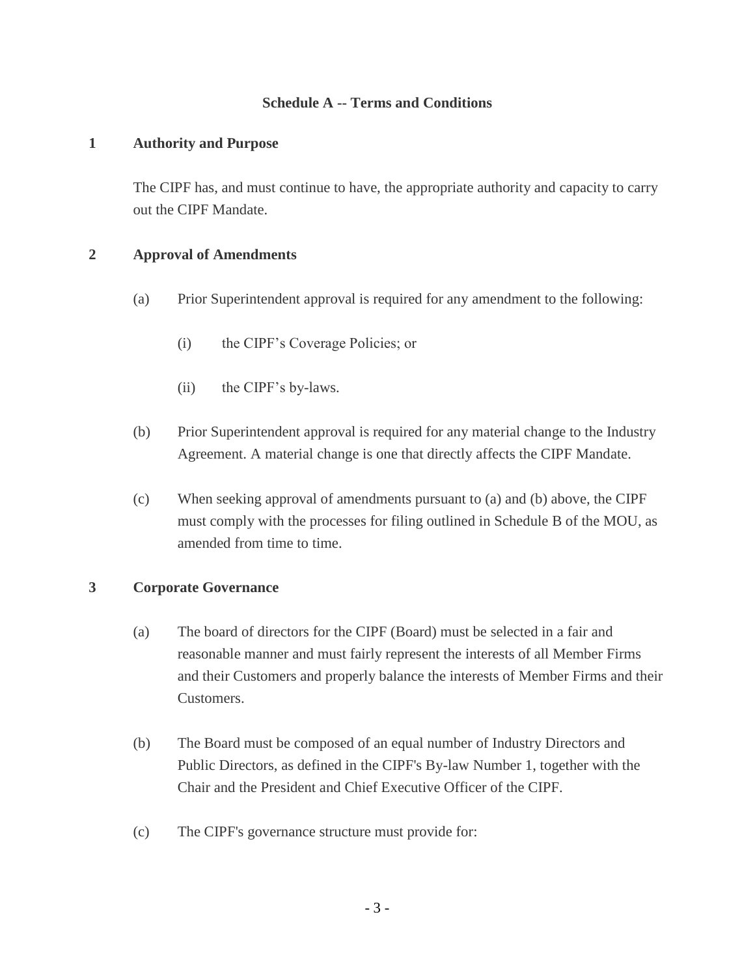## **Schedule A -- Terms and Conditions**

### **1 Authority and Purpose**

The CIPF has, and must continue to have, the appropriate authority and capacity to carry out the CIPF Mandate.

## **2 Approval of Amendments**

- (a) Prior Superintendent approval is required for any amendment to the following:
	- (i) the CIPF's Coverage Policies; or
	- (ii) the CIPF's by-laws.
- (b) Prior Superintendent approval is required for any material change to the Industry Agreement. A material change is one that directly affects the CIPF Mandate.
- (c) When seeking approval of amendments pursuant to (a) and (b) above, the CIPF must comply with the processes for filing outlined in Schedule B of the MOU, as amended from time to time.

### **3 Corporate Governance**

- (a) The board of directors for the CIPF (Board) must be selected in a fair and reasonable manner and must fairly represent the interests of all Member Firms and their Customers and properly balance the interests of Member Firms and their Customers.
- (b) The Board must be composed of an equal number of Industry Directors and Public Directors, as defined in the CIPF's By-law Number 1, together with the Chair and the President and Chief Executive Officer of the CIPF.
- (c) The CIPF's governance structure must provide for: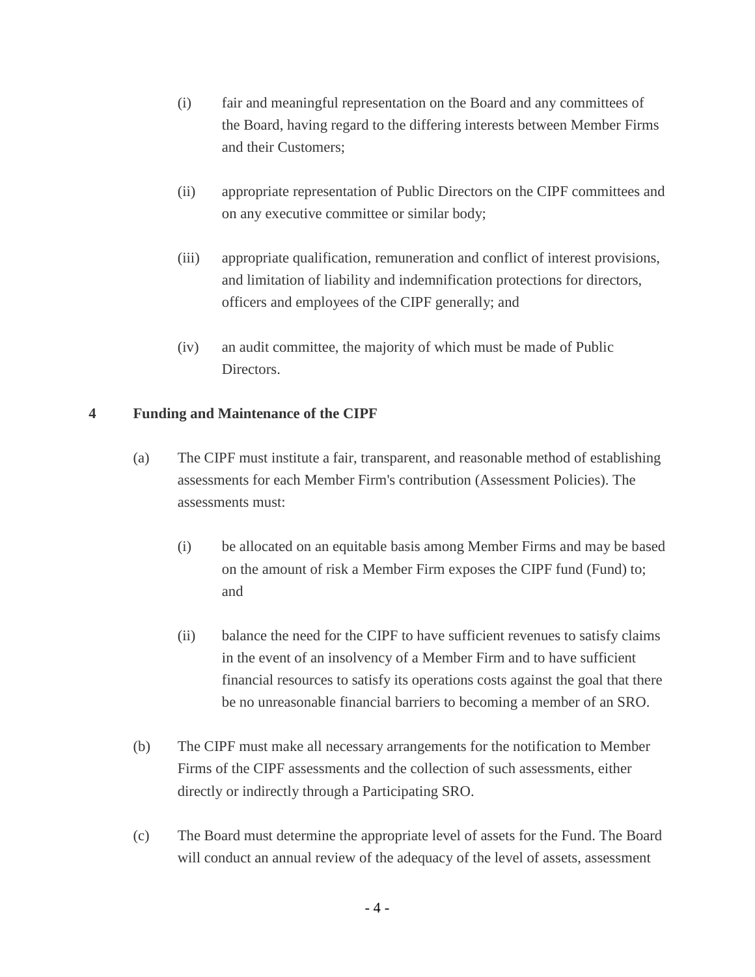- (i) fair and meaningful representation on the Board and any committees of the Board, having regard to the differing interests between Member Firms and their Customers;
- (ii) appropriate representation of Public Directors on the CIPF committees and on any executive committee or similar body;
- (iii) appropriate qualification, remuneration and conflict of interest provisions, and limitation of liability and indemnification protections for directors, officers and employees of the CIPF generally; and
- (iv) an audit committee, the majority of which must be made of Public Directors.

## **4 Funding and Maintenance of the CIPF**

- (a) The CIPF must institute a fair, transparent, and reasonable method of establishing assessments for each Member Firm's contribution (Assessment Policies). The assessments must:
	- (i) be allocated on an equitable basis among Member Firms and may be based on the amount of risk a Member Firm exposes the CIPF fund (Fund) to; and
	- (ii) balance the need for the CIPF to have sufficient revenues to satisfy claims in the event of an insolvency of a Member Firm and to have sufficient financial resources to satisfy its operations costs against the goal that there be no unreasonable financial barriers to becoming a member of an SRO.
- (b) The CIPF must make all necessary arrangements for the notification to Member Firms of the CIPF assessments and the collection of such assessments, either directly or indirectly through a Participating SRO.
- (c) The Board must determine the appropriate level of assets for the Fund. The Board will conduct an annual review of the adequacy of the level of assets, assessment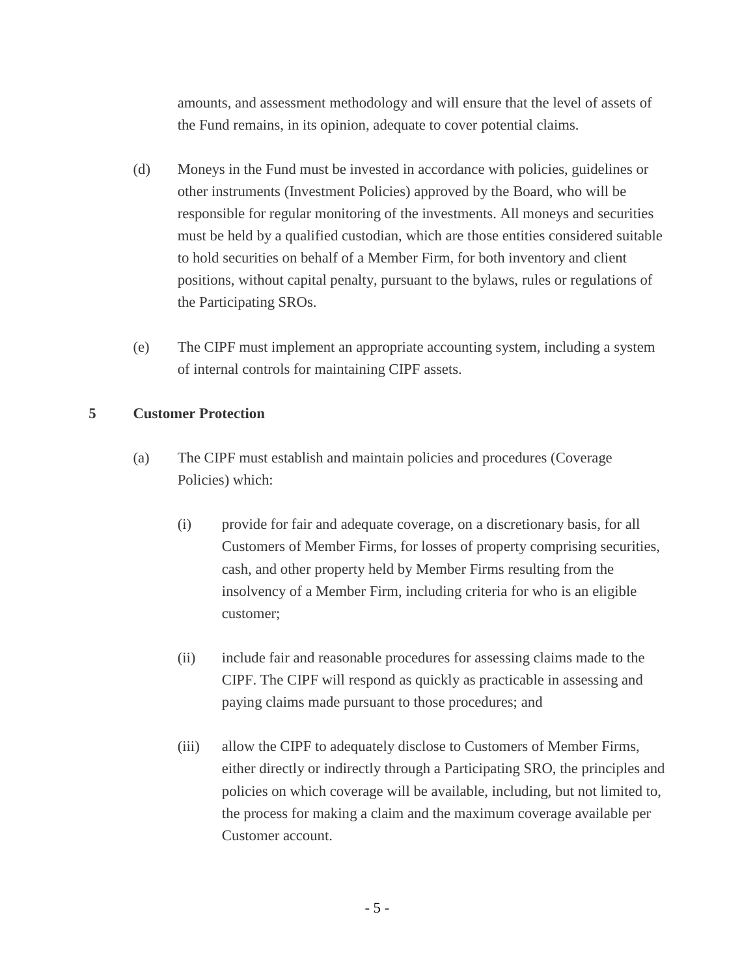amounts, and assessment methodology and will ensure that the level of assets of the Fund remains, in its opinion, adequate to cover potential claims.

- (d) Moneys in the Fund must be invested in accordance with policies, guidelines or other instruments (Investment Policies) approved by the Board, who will be responsible for regular monitoring of the investments. All moneys and securities must be held by a qualified custodian, which are those entities considered suitable to hold securities on behalf of a Member Firm, for both inventory and client positions, without capital penalty, pursuant to the bylaws, rules or regulations of the Participating SROs.
- (e) The CIPF must implement an appropriate accounting system, including a system of internal controls for maintaining CIPF assets.

## **5 Customer Protection**

- (a) The CIPF must establish and maintain policies and procedures (Coverage Policies) which:
	- (i) provide for fair and adequate coverage, on a discretionary basis, for all Customers of Member Firms, for losses of property comprising securities, cash, and other property held by Member Firms resulting from the insolvency of a Member Firm, including criteria for who is an eligible customer;
	- (ii) include fair and reasonable procedures for assessing claims made to the CIPF. The CIPF will respond as quickly as practicable in assessing and paying claims made pursuant to those procedures; and
	- (iii) allow the CIPF to adequately disclose to Customers of Member Firms, either directly or indirectly through a Participating SRO, the principles and policies on which coverage will be available, including, but not limited to, the process for making a claim and the maximum coverage available per Customer account.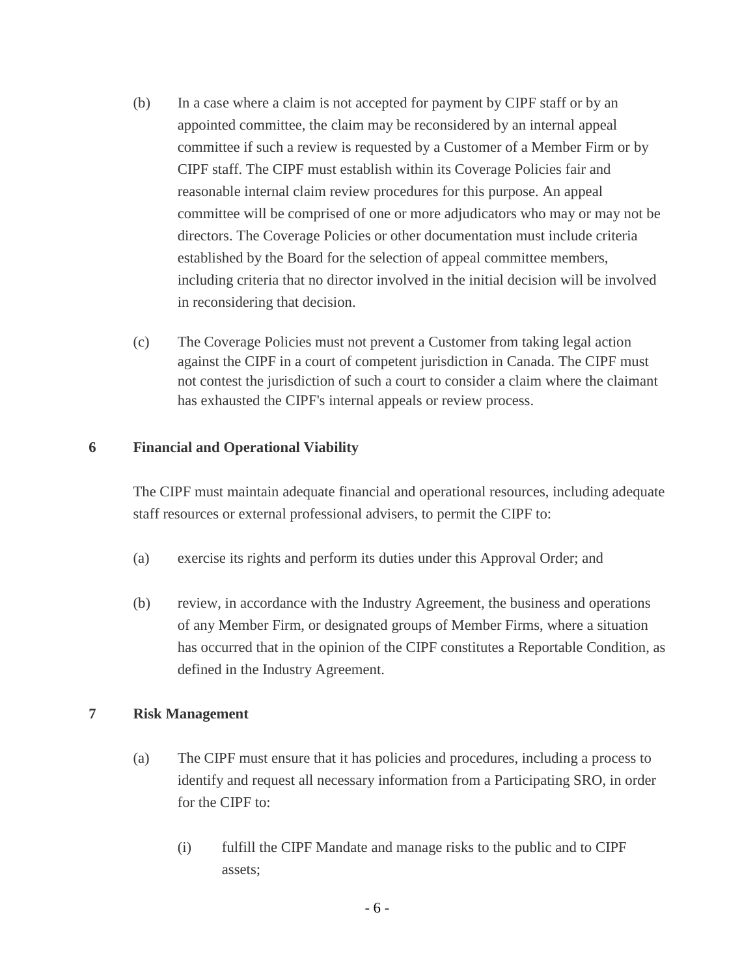- (b) In a case where a claim is not accepted for payment by CIPF staff or by an appointed committee, the claim may be reconsidered by an internal appeal committee if such a review is requested by a Customer of a Member Firm or by CIPF staff. The CIPF must establish within its Coverage Policies fair and reasonable internal claim review procedures for this purpose. An appeal committee will be comprised of one or more adjudicators who may or may not be directors. The Coverage Policies or other documentation must include criteria established by the Board for the selection of appeal committee members, including criteria that no director involved in the initial decision will be involved in reconsidering that decision.
- (c) The Coverage Policies must not prevent a Customer from taking legal action against the CIPF in a court of competent jurisdiction in Canada. The CIPF must not contest the jurisdiction of such a court to consider a claim where the claimant has exhausted the CIPF's internal appeals or review process.

## **6 Financial and Operational Viability**

The CIPF must maintain adequate financial and operational resources, including adequate staff resources or external professional advisers, to permit the CIPF to:

- (a) exercise its rights and perform its duties under this Approval Order; and
- (b) review, in accordance with the Industry Agreement, the business and operations of any Member Firm, or designated groups of Member Firms, where a situation has occurred that in the opinion of the CIPF constitutes a Reportable Condition, as defined in the Industry Agreement.

### **7 Risk Management**

- (a) The CIPF must ensure that it has policies and procedures, including a process to identify and request all necessary information from a Participating SRO, in order for the CIPF to:
	- (i) fulfill the CIPF Mandate and manage risks to the public and to CIPF assets;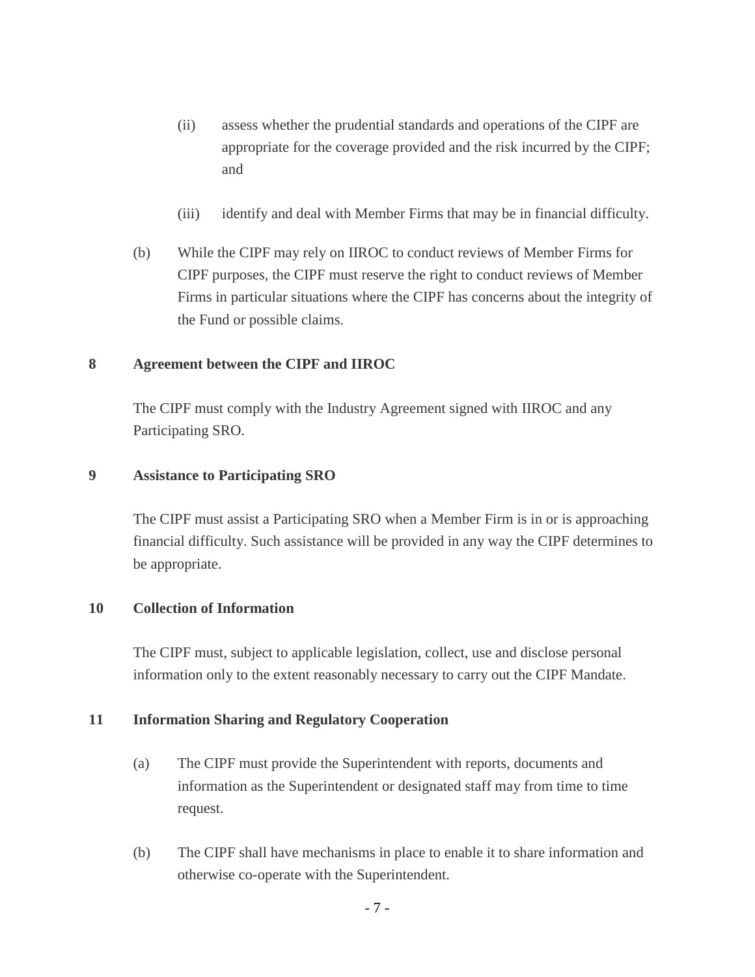- (ii) assess whether the prudential standards and operations of the CIPF are appropriate for the coverage provided and the risk incurred by the CIPF; and
- (iii) identify and deal with Member Firms that may be in financial difficulty.
- (b) While the CIPF may rely on IIROC to conduct reviews of Member Firms for CIPF purposes, the CIPF must reserve the right to conduct reviews of Member Firms in particular situations where the CIPF has concerns about the integrity of the Fund or possible claims.

### **8 Agreement between the CIPF and IIROC**

The CIPF must comply with the Industry Agreement signed with IIROC and any Participating SRO.

### **9 Assistance to Participating SRO**

The CIPF must assist a Participating SRO when a Member Firm is in or is approaching financial difficulty. Such assistance will be provided in any way the CIPF determines to be appropriate.

#### **10 Collection of Information**

The CIPF must, subject to applicable legislation, collect, use and disclose personal information only to the extent reasonably necessary to carry out the CIPF Mandate.

### **11 Information Sharing and Regulatory Cooperation**

- (a) The CIPF must provide the Superintendent with reports, documents and information as the Superintendent or designated staff may from time to time request.
- (b) The CIPF shall have mechanisms in place to enable it to share information and otherwise co-operate with the Superintendent.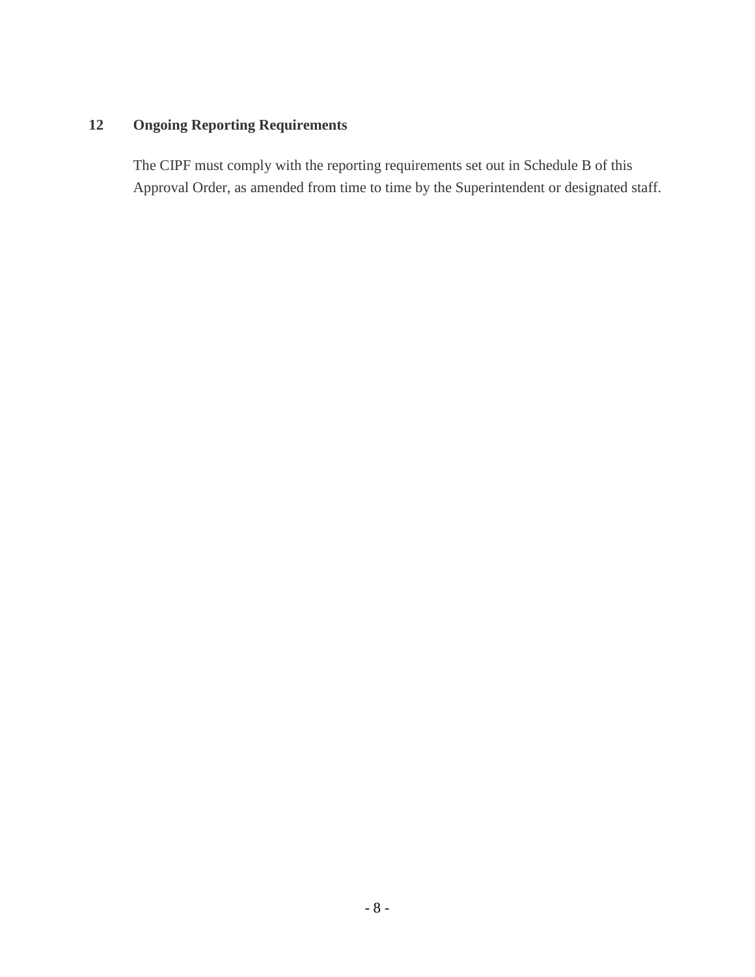# **12 Ongoing Reporting Requirements**

The CIPF must comply with the reporting requirements set out in Schedule B of this Approval Order, as amended from time to time by the Superintendent or designated staff.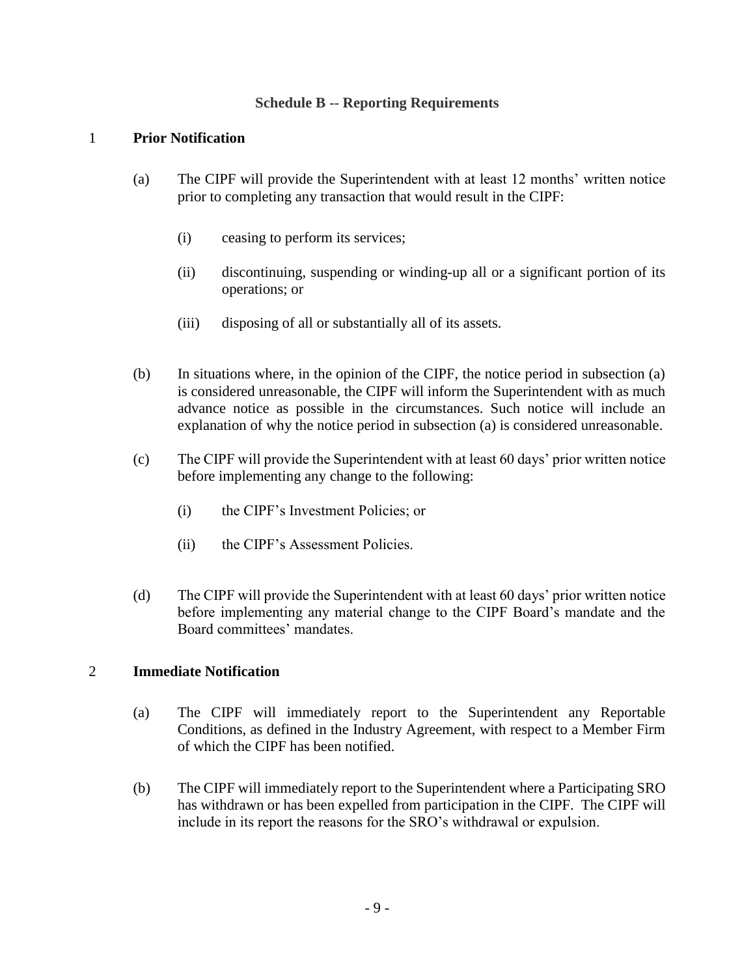## **Schedule B -- Reporting Requirements**

## 1 **Prior Notification**

- (a) The CIPF will provide the Superintendent with at least 12 months' written notice prior to completing any transaction that would result in the CIPF:
	- (i) ceasing to perform its services;
	- (ii) discontinuing, suspending or winding-up all or a significant portion of its operations; or
	- (iii) disposing of all or substantially all of its assets.
- (b) In situations where, in the opinion of the CIPF, the notice period in subsection (a) is considered unreasonable, the CIPF will inform the Superintendent with as much advance notice as possible in the circumstances. Such notice will include an explanation of why the notice period in subsection (a) is considered unreasonable.
- (c) The CIPF will provide the Superintendent with at least 60 days' prior written notice before implementing any change to the following:
	- (i) the CIPF's Investment Policies; or
	- (ii) the CIPF's Assessment Policies.
- (d) The CIPF will provide the Superintendent with at least 60 days' prior written notice before implementing any material change to the CIPF Board's mandate and the Board committees' mandates.

# 2 **Immediate Notification**

- (a) The CIPF will immediately report to the Superintendent any Reportable Conditions, as defined in the Industry Agreement, with respect to a Member Firm of which the CIPF has been notified.
- (b) The CIPF will immediately report to the Superintendent where a Participating SRO has withdrawn or has been expelled from participation in the CIPF. The CIPF will include in its report the reasons for the SRO's withdrawal or expulsion.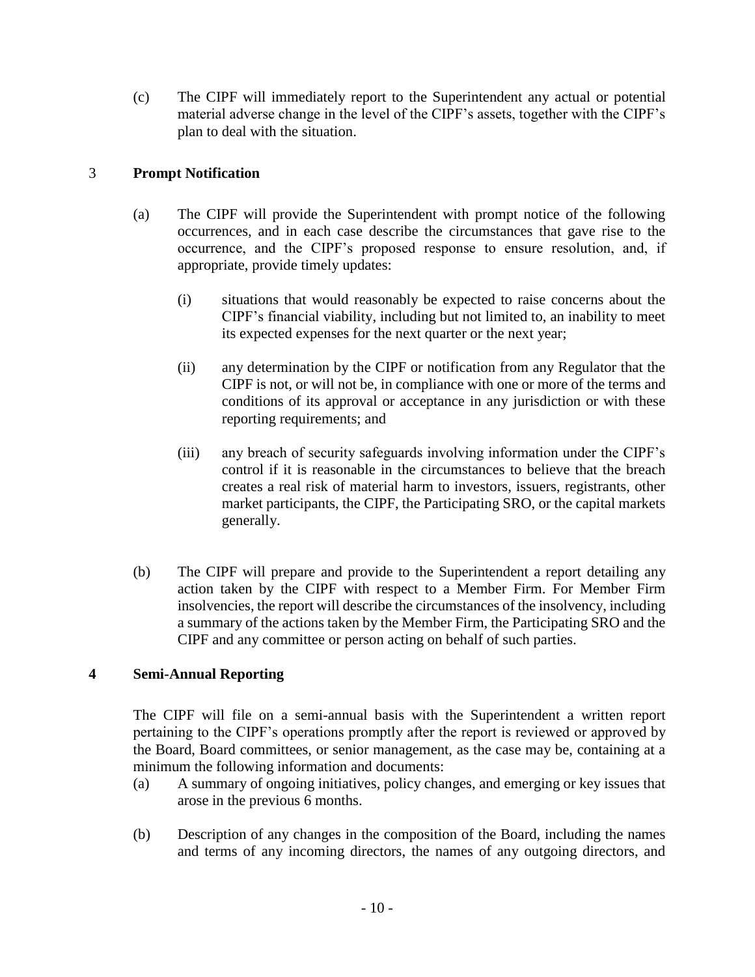(c) The CIPF will immediately report to the Superintendent any actual or potential material adverse change in the level of the CIPF's assets, together with the CIPF's plan to deal with the situation.

# 3 **Prompt Notification**

- (a) The CIPF will provide the Superintendent with prompt notice of the following occurrences, and in each case describe the circumstances that gave rise to the occurrence, and the CIPF's proposed response to ensure resolution, and, if appropriate, provide timely updates:
	- (i) situations that would reasonably be expected to raise concerns about the CIPF's financial viability, including but not limited to, an inability to meet its expected expenses for the next quarter or the next year;
	- (ii) any determination by the CIPF or notification from any Regulator that the CIPF is not, or will not be, in compliance with one or more of the terms and conditions of its approval or acceptance in any jurisdiction or with these reporting requirements; and
	- (iii) any breach of security safeguards involving information under the CIPF's control if it is reasonable in the circumstances to believe that the breach creates a real risk of material harm to investors, issuers, registrants, other market participants, the CIPF, the Participating SRO, or the capital markets generally.
- (b) The CIPF will prepare and provide to the Superintendent a report detailing any action taken by the CIPF with respect to a Member Firm. For Member Firm insolvencies, the report will describe the circumstances of the insolvency, including a summary of the actions taken by the Member Firm, the Participating SRO and the CIPF and any committee or person acting on behalf of such parties.

# **4 Semi-Annual Reporting**

The CIPF will file on a semi-annual basis with the Superintendent a written report pertaining to the CIPF's operations promptly after the report is reviewed or approved by the Board, Board committees, or senior management, as the case may be, containing at a minimum the following information and documents:

- (a) A summary of ongoing initiatives, policy changes, and emerging or key issues that arose in the previous 6 months.
- (b) Description of any changes in the composition of the Board, including the names and terms of any incoming directors, the names of any outgoing directors, and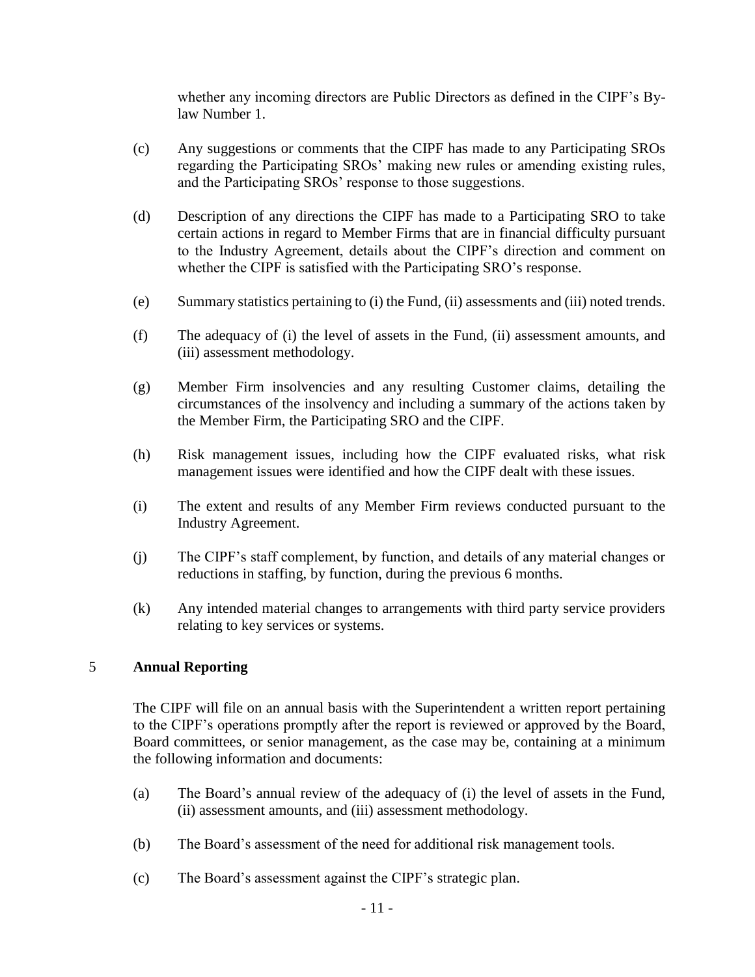whether any incoming directors are Public Directors as defined in the CIPF's Bylaw Number 1.

- (c) Any suggestions or comments that the CIPF has made to any Participating SROs regarding the Participating SROs' making new rules or amending existing rules, and the Participating SROs' response to those suggestions.
- (d) Description of any directions the CIPF has made to a Participating SRO to take certain actions in regard to Member Firms that are in financial difficulty pursuant to the Industry Agreement, details about the CIPF's direction and comment on whether the CIPF is satisfied with the Participating SRO's response.
- (e) Summary statistics pertaining to (i) the Fund, (ii) assessments and (iii) noted trends.
- (f) The adequacy of (i) the level of assets in the Fund, (ii) assessment amounts, and (iii) assessment methodology.
- (g) Member Firm insolvencies and any resulting Customer claims, detailing the circumstances of the insolvency and including a summary of the actions taken by the Member Firm, the Participating SRO and the CIPF.
- (h) Risk management issues, including how the CIPF evaluated risks, what risk management issues were identified and how the CIPF dealt with these issues.
- (i) The extent and results of any Member Firm reviews conducted pursuant to the Industry Agreement.
- (j) The CIPF's staff complement, by function, and details of any material changes or reductions in staffing, by function, during the previous 6 months.
- (k) Any intended material changes to arrangements with third party service providers relating to key services or systems.

### 5 **Annual Reporting**

The CIPF will file on an annual basis with the Superintendent a written report pertaining to the CIPF's operations promptly after the report is reviewed or approved by the Board, Board committees, or senior management, as the case may be, containing at a minimum the following information and documents:

- (a) The Board's annual review of the adequacy of (i) the level of assets in the Fund, (ii) assessment amounts, and (iii) assessment methodology.
- (b) The Board's assessment of the need for additional risk management tools.
- (c) The Board's assessment against the CIPF's strategic plan.